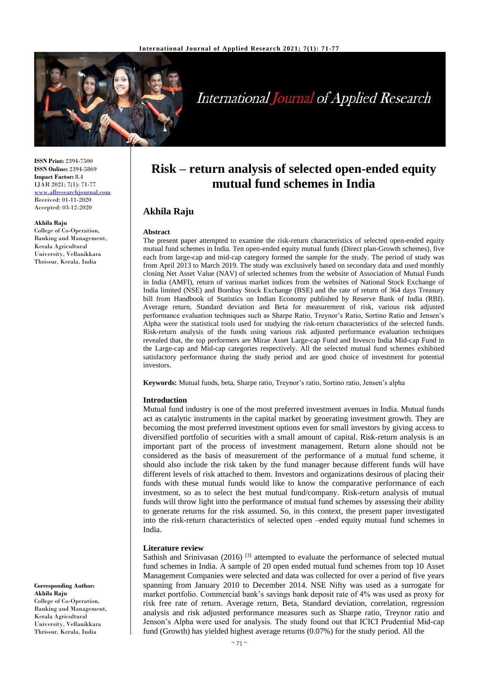

# **International Journal of Applied Research**

**ISSN Print:** 2394-7500 **ISSN Online:** 2394-5869 **Impact Factor:** 8.4 IJAR 2021; 7(1): 71-77 <www.allresearchjournal.com> Received: 01-11-2020 Accepted: 03-12-2020

#### **Akhila Raju**

College of Co-Operation, Banking and Management, Kerala Agricultural University, Vellanikkara Thrissur, Kerala, India

**mutual fund schemes in India**

**Risk – return analysis of selected open-ended equity** 

# **Akhila Raju**

**Abstract**

# The present paper attempted to examine the risk-return characteristics of selected open-ended equity mutual fund schemes in India. Ten open-ended equity mutual funds (Direct plan-Growth schemes), five each from large-cap and mid-cap category formed the sample for the study. The period of study was

from April 2013 to March 2019. The study was exclusively based on secondary data and used monthly closing Net Asset Value (NAV) of selected schemes from the website of Association of Mutual Funds in India (AMFI), return of various market indices from the websites of National Stock Exchange of India limited (NSE) and Bombay Stock Exchange (BSE) and the rate of return of 364 days Treasury bill from Handbook of Statistics on Indian Economy published by Reserve Bank of India (RBI). Average return, Standard deviation and Beta for measurement of risk, various risk adjusted performance evaluation techniques such as Sharpe Ratio, Treynor's Ratio, Sortino Ratio and Jensen's Alpha were the statistical tools used for studying the risk-return characteristics of the selected funds. Risk-return analysis of the funds using various risk adjusted performance evaluation techniques revealed that, the top performers are Mirae Asset Large-cap Fund and Invesco India Mid-cap Fund in the Large-cap and Mid-cap categories respectively. All the selected mutual fund schemes exhibited satisfactory performance during the study period and are good choice of investment for potential investors.

**Keywords:** Mutual funds, beta, Sharpe ratio, Treynor's ratio, Sortino ratio, Jensen's alpha

# **Introduction**

Mutual fund industry is one of the most preferred investment avenues in India. Mutual funds act as catalytic instruments in the capital market by generating investment growth. They are becoming the most preferred investment options even for small investors by giving access to diversified portfolio of securities with a small amount of capital. Risk-return analysis is an important part of the process of investment management. Return alone should not be considered as the basis of measurement of the performance of a mutual fund scheme, it should also include the risk taken by the fund manager because different funds will have different levels of risk attached to them. Investors and organizations desirous of placing their funds with these mutual funds would like to know the comparative performance of each investment, so as to select the best mutual fund/company. Risk-return analysis of mutual funds will throw light into the performance of mutual fund schemes by assessing their ability to generate returns for the risk assumed. So, in this context, the present paper investigated into the risk-return characteristics of selected open –ended equity mutual fund schemes in India.

# **Literature review**

Sathish and Srinivasan  $(2016)$ <sup>[3]</sup> attempted to evaluate the performance of selected mutual fund schemes in India. A sample of 20 open ended mutual fund schemes from top 10 Asset Management Companies were selected and data was collected for over a period of five years spanning from January 2010 to December 2014. NSE Nifty was used as a surrogate for market portfolio. Commercial bank's savings bank deposit rate of 4% was used as proxy for risk free rate of return. Average return, Beta, Standard deviation, correlation, regression analysis and risk adjusted performance measures such as Sharpe ratio, Treynor ratio and Jenson's Alpha were used for analysis. The study found out that ICICI Prudential Mid-cap fund (Growth) has yielded highest average returns (0.07%) for the study period. All the

**Corresponding Author: Akhila Raju** College of Co-Operation. Banking and Management, Kerala Agricultural University, Vellanikkara Thrissur, Kerala, India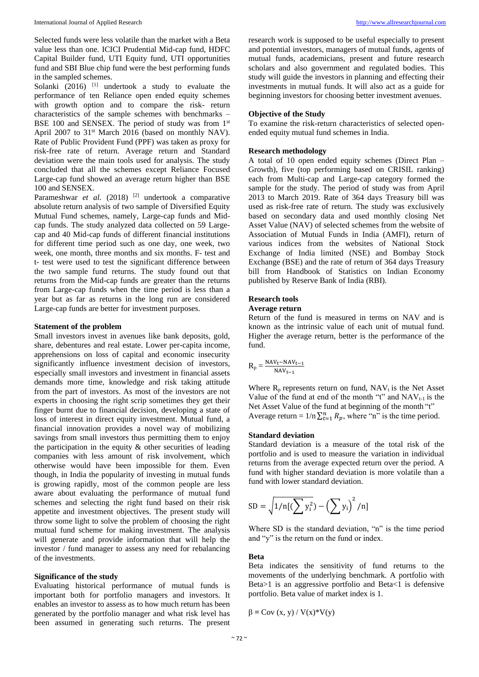Selected funds were less volatile than the market with a Beta value less than one. ICICI Prudential Mid-cap fund, HDFC Capital Builder fund, UTI Equity fund, UTI opportunities fund and SBI Blue chip fund were the best performing funds in the sampled schemes.

Solanki (2016) <sup>[1]</sup> undertook a study to evaluate the performance of ten Reliance open ended equity schemes with growth option and to compare the risk- return characteristics of the sample schemes with benchmarks – BSE 100 and SENSEX. The period of study was from 1<sup>st</sup> April 2007 to  $31<sup>st</sup>$  March 2016 (based on monthly NAV). Rate of Public Provident Fund (PPF) was taken as proxy for risk-free rate of return. Average return and Standard deviation were the main tools used for analysis. The study concluded that all the schemes except Reliance Focused Large-cap fund showed an average return higher than BSE 100 and SENSEX.

Parameshwar *et al.* (2018) [2] undertook a comparative absolute return analysis of two sample of Diversified Equity Mutual Fund schemes, namely, Large-cap funds and Midcap funds. The study analyzed data collected on 59 Largecap and 40 Mid-cap funds of different financial institutions for different time period such as one day, one week, two week, one month, three months and six months. F- test and t- test were used to test the significant difference between the two sample fund returns. The study found out that returns from the Mid-cap funds are greater than the returns from Large-cap funds when the time period is less than a year but as far as returns in the long run are considered Large-cap funds are better for investment purposes.

#### **Statement of the problem**

Small investors invest in avenues like bank deposits, gold, share, debentures and real estate. Lower per-capita income, apprehensions on loss of capital and economic insecurity significantly influence investment decision of investors, especially small investors and investment in financial assets demands more time, knowledge and risk taking attitude from the part of investors. As most of the investors are not experts in choosing the right scrip sometimes they get their finger burnt due to financial decision, developing a state of loss of interest in direct equity investment. Mutual fund, a financial innovation provides a novel way of mobilizing savings from small investors thus permitting them to enjoy the participation in the equity  $\&$  other securities of leading companies with less amount of risk involvement, which otherwise would have been impossible for them. Even though, in India the popularity of investing in mutual funds is growing rapidly, most of the common people are less aware about evaluating the performance of mutual fund schemes and selecting the right fund based on their risk appetite and investment objectives. The present study will throw some light to solve the problem of choosing the right mutual fund scheme for making investment. The analysis will generate and provide information that will help the investor / fund manager to assess any need for rebalancing of the investments.

# **Significance of the study**

Evaluating historical performance of mutual funds is important both for portfolio managers and investors. It enables an investor to assess as to how much return has been generated by the portfolio manager and what risk level has been assumed in generating such returns. The present

research work is supposed to be useful especially to present and potential investors, managers of mutual funds, agents of mutual funds, academicians, present and future research scholars and also government and regulated bodies. This study will guide the investors in planning and effecting their investments in mutual funds. It will also act as a guide for beginning investors for choosing better investment avenues.

#### **Objective of the Study**

To examine the risk-return characteristics of selected openended equity mutual fund schemes in India.

# **Research methodology**

A total of 10 open ended equity schemes (Direct Plan – Growth), five (top performing based on CRISIL ranking) each from Multi-cap and Large-cap category formed the sample for the study. The period of study was from April 2013 to March 2019. Rate of 364 days Treasury bill was used as risk-free rate of return. The study was exclusively based on secondary data and used monthly closing Net Asset Value (NAV) of selected schemes from the website of Association of Mutual Funds in India (AMFI), return of various indices from the websites of National Stock Exchange of India limited (NSE) and Bombay Stock Exchange (BSE) and the rate of return of 364 days Treasury bill from Handbook of Statistics on Indian Economy published by Reserve Bank of India (RBI).

# **Research tools**

### **Average return**

Return of the fund is measured in terms on NAV and is known as the intrinsic value of each unit of mutual fund. Higher the average return, better is the performance of the fund.

$$
R_p = \frac{\text{NAV}_t - \text{NAV}_{t-1}}{\text{NAV}_{t-1}}
$$

Where  $R_p$  represents return on fund,  $NAV_t$  is the Net Asset Value of the fund at end of the month "t" and  $NAV_{t-1}$  is the Net Asset Value of the fund at beginning of the month "t" Average return =  $1/n \sum_{t=1}^{n} R_p$ , where "n" is the time period.

### **Standard deviation**

Standard deviation is a measure of the total risk of the portfolio and is used to measure the variation in individual returns from the average expected return over the period. A fund with higher standard deviation is more volatile than a fund with lower standard deviation.

$$
SD = \sqrt{1/n[(\sum y_i^2) - (\sum y_i)^2/n]}
$$

Where SD is the standard deviation, "n" is the time period and "y" is the return on the fund or index.

#### **Beta**

Beta indicates the sensitivity of fund returns to the movements of the underlying benchmark. A portfolio with Beta>1 is an aggressive portfolio and Beta<1 is defensive portfolio. Beta value of market index is 1.

$$
\beta = \text{Cov}(x, y) / V(x) * V(y)
$$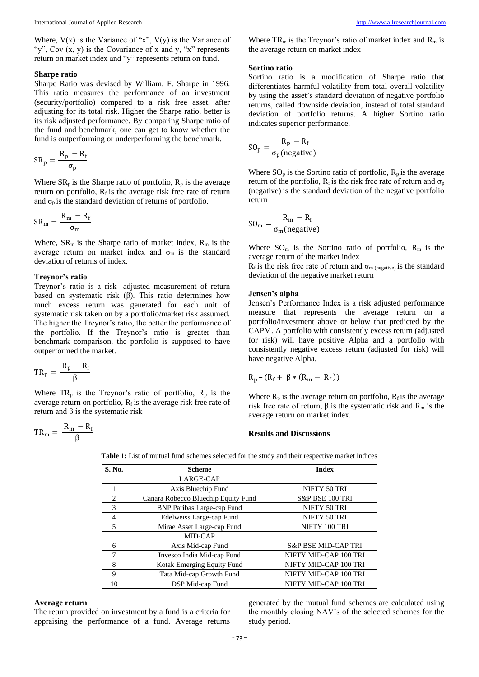Where,  $V(x)$  is the Variance of "x",  $V(y)$  is the Variance of "y", Cov  $(x, y)$  is the Covariance of x and y, "x" represents return on market index and "y" represents return on fund.

#### **Sharpe ratio**

Sharpe Ratio was devised by William. F. Sharpe in 1996. This ratio measures the performance of an investment (security/portfolio) compared to a risk free asset, after adjusting for its total risk. Higher the Sharpe ratio, better is its risk adjusted performance. By comparing Sharpe ratio of the fund and benchmark, one can get to know whether the fund is outperforming or underperforming the benchmark.

$$
SR_p = \frac{R_p - R_f}{\sigma_p}
$$

Where  $SR_p$  is the Sharpe ratio of portfolio,  $R_p$  is the average return on portfolio,  $R_f$  is the average risk free rate of return and  $\sigma_p$  is the standard deviation of returns of portfolio.

$$
SR_m = \frac{R_m - R_f}{\sigma_m}
$$

Where,  $SR_m$  is the Sharpe ratio of market index,  $R_m$  is the average return on market index and  $\sigma_m$  is the standard deviation of returns of index.

#### **Treynor's ratio**

Treynor's ratio is a risk- adjusted measurement of return based on systematic risk (β). This ratio determines how much excess return was generated for each unit of systematic risk taken on by a portfolio/market risk assumed. The higher the Treynor's ratio, the better the performance of the portfolio. If the Treynor's ratio is greater than benchmark comparison, the portfolio is supposed to have outperformed the market.

$$
TR_p=\frac{R_p-R_f}{\beta}
$$

Where  $TR_p$  is the Treynor's ratio of portfolio,  $R_p$  is the average return on portfolio,  $R_f$  is the average risk free rate of return and β is the systematic risk

$$
TR_m = \frac{R_m - R_f}{\beta}
$$

Where  $TR_m$  is the Treynor's ratio of market index and  $R_m$  is the average return on market index

#### **Sortino ratio**

Sortino ratio is a modification of Sharpe ratio that differentiates harmful volatility from total overall volatility by using the asset's standard deviation of negative portfolio returns, called downside deviation, instead of total standard deviation of portfolio returns. A higher Sortino ratio indicates superior performance.

$$
SO_{p} = \frac{R_{p} - R_{f}}{\sigma_{p}(\text{negative})}
$$

Where  $SO_p$  is the Sortino ratio of portfolio,  $R_p$  is the average return of the portfolio,  $R_f$  is the risk free rate of return and  $\sigma_p$ (negative) is the standard deviation of the negative portfolio return

$$
SO_{\rm m} = \frac{R_{\rm m} - R_{\rm f}}{\sigma_{\rm m}(\text{negative})}
$$

Where  $SO_m$  is the Sortino ratio of portfolio,  $R_m$  is the average return of the market index

 $R_f$  is the risk free rate of return and  $\sigma_{m \text{ (negative)}}$  is the standard deviation of the negative market return

# **Jensen's alpha**

Jensen's Performance Index is a risk adjusted performance measure that represents the average return on a portfolio/investment above or below that predicted by the CAPM. A portfolio with consistently excess return (adjusted for risk) will have positive Alpha and a portfolio with consistently negative excess return (adjusted for risk) will have negative Alpha.

$$
R_p - (R_f + \beta * (R_m - R_f))
$$

Where  $R_p$  is the average return on portfolio,  $R_f$  is the average risk free rate of return,  $β$  is the systematic risk and  $R<sub>m</sub>$  is the average return on market index.

#### **Results and Discussions**

**Table 1:** List of mutual fund schemes selected for the study and their respective market indices

| S. No.         | <b>Scheme</b>                       | <b>Index</b>                   |
|----------------|-------------------------------------|--------------------------------|
|                | LARGE-CAP                           |                                |
| 1              | Axis Bluechip Fund                  | NIFTY 50 TRI                   |
| $\overline{c}$ | Canara Robecco Bluechip Equity Fund | S&P BSE 100 TRI                |
| 3              | <b>BNP Paribas Large-cap Fund</b>   | NIFTY 50 TRI                   |
| 4              | Edelweiss Large-cap Fund            | NIFTY 50 TRI                   |
| $\overline{5}$ | Mirae Asset Large-cap Fund          | NIFTY 100 TRI                  |
|                | MID-CAP                             |                                |
| 6              | Axis Mid-cap Fund                   | <b>S&amp;P BSE MID-CAP TRI</b> |
| 7              | Invesco India Mid-cap Fund          | NIFTY MID-CAP 100 TRI          |
| 8              | Kotak Emerging Equity Fund          | NIFTY MID-CAP 100 TRI          |
| 9              | Tata Mid-cap Growth Fund            | NIFTY MID-CAP 100 TRI          |
| 10             | DSP Mid-cap Fund                    | NIFTY MID-CAP 100 TRI          |

# **Average return**

The return provided on investment by a fund is a criteria for appraising the performance of a fund. Average returns

generated by the mutual fund schemes are calculated using the monthly closing NAV's of the selected schemes for the study period.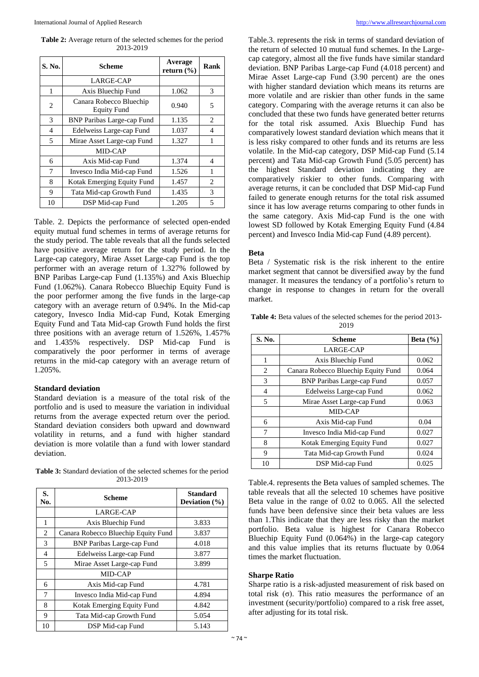**Table 2:** Average return of the selected schemes for the period 2013-2019

| S. No.         | <b>Scheme</b>                                 | Average<br>return $(\% )$ | Rank |
|----------------|-----------------------------------------------|---------------------------|------|
|                | LARGE-CAP                                     |                           |      |
| 1              | Axis Bluechip Fund                            | 1.062                     | 3    |
| 2              | Canara Robecco Bluechip<br><b>Equity Fund</b> | 0.940                     | 5    |
| 3              | <b>BNP Paribas Large-cap Fund</b>             | 1.135                     | 2    |
| $\overline{4}$ | Edelweiss Large-cap Fund                      | 1.037                     | 4    |
| 5              | Mirae Asset Large-cap Fund                    | 1.327                     | 1    |
|                | MID-CAP                                       |                           |      |
| 6              | Axis Mid-cap Fund                             | 1.374                     | 4    |
| 7              | Invesco India Mid-cap Fund                    | 1.526                     | 1    |
| 8              | Kotak Emerging Equity Fund                    | 1.457                     | 2    |
| 9              | Tata Mid-cap Growth Fund                      | 1.435                     | 3    |
| 10             | DSP Mid-cap Fund                              | 1.205                     | 5    |

Table. 2. Depicts the performance of selected open-ended equity mutual fund schemes in terms of average returns for the study period. The table reveals that all the funds selected have positive average return for the study period. In the Large-cap category, Mirae Asset Large-cap Fund is the top performer with an average return of 1.327% followed by BNP Paribas Large-cap Fund (1.135%) and Axis Bluechip Fund (1.062%). Canara Robecco Bluechip Equity Fund is the poor performer among the five funds in the large-cap category with an average return of 0.94%. In the Mid-cap category, Invesco India Mid-cap Fund, Kotak Emerging Equity Fund and Tata Mid-cap Growth Fund holds the first three positions with an average return of 1.526%, 1.457% and 1.435% respectively. DSP Mid-cap Fund is comparatively the poor performer in terms of average returns in the mid-cap category with an average return of 1.205%.

# **Standard deviation**

Standard deviation is a measure of the total risk of the portfolio and is used to measure the variation in individual returns from the average expected return over the period. Standard deviation considers both upward and downward volatility in returns, and a fund with higher standard deviation is more volatile than a fund with lower standard deviation.

**Table 3:** Standard deviation of the selected schemes for the period 2013-2019

| S.<br>No. | Scheme                              | <b>Standard</b><br>Deviation (%) |
|-----------|-------------------------------------|----------------------------------|
|           | LARGE-CAP                           |                                  |
| 1         | Axis Bluechip Fund                  | 3.833                            |
| 2         | Canara Robecco Bluechip Equity Fund | 3.837                            |
| 3         | <b>BNP Paribas Large-cap Fund</b>   | 4.018                            |
| 4         | Edelweiss Large-cap Fund            | 3.877                            |
| 5         | Mirae Asset Large-cap Fund          | 3.899                            |
|           | MID-CAP                             |                                  |
| 6         | Axis Mid-cap Fund                   | 4.781                            |
| 7         | Invesco India Mid-cap Fund          | 4.894                            |
| 8         | Kotak Emerging Equity Fund          | 4.842                            |
| 9         | Tata Mid-cap Growth Fund            | 5.054                            |
| 10        | DSP Mid-cap Fund                    | 5.143                            |

Table.3. represents the risk in terms of standard deviation of the return of selected 10 mutual fund schemes. In the Largecap category, almost all the five funds have similar standard deviation. BNP Paribas Large-cap Fund (4.018 percent) and Mirae Asset Large-cap Fund (3.90 percent) are the ones with higher standard deviation which means its returns are more volatile and are riskier than other funds in the same category. Comparing with the average returns it can also be concluded that these two funds have generated better returns for the total risk assumed. Axis Bluechip Fund has comparatively lowest standard deviation which means that it is less risky compared to other funds and its returns are less volatile. In the Mid-cap category, DSP Mid-cap Fund (5.14 percent) and Tata Mid-cap Growth Fund (5.05 percent) has the highest Standard deviation indicating they are comparatively riskier to other funds. Comparing with average returns, it can be concluded that DSP Mid-cap Fund failed to generate enough returns for the total risk assumed since it has low average returns comparing to other funds in the same category. Axis Mid-cap Fund is the one with lowest SD followed by Kotak Emerging Equity Fund (4.84 percent) and Invesco India Mid-cap Fund (4.89 percent).

# **Beta**

Beta / Systematic risk is the risk inherent to the entire market segment that cannot be diversified away by the fund manager. It measures the tendancy of a portfolio's return to change in response to changes in return for the overall market.

**Table 4:** Beta values of the selected schemes for the period 2013- 2019

| S. No. | <b>Scheme</b>                       | Beta $(\% )$ |  |  |  |
|--------|-------------------------------------|--------------|--|--|--|
|        | <b>LARGE-CAP</b>                    |              |  |  |  |
| 1      | Axis Bluechip Fund                  |              |  |  |  |
| 2      | Canara Robecco Bluechip Equity Fund | 0.064        |  |  |  |
| 3      | <b>BNP Paribas Large-cap Fund</b>   | 0.057        |  |  |  |
| 4      | Edelweiss Large-cap Fund            |              |  |  |  |
| 5      | Mirae Asset Large-cap Fund          |              |  |  |  |
|        | MID-CAP                             |              |  |  |  |
| 6      | Axis Mid-cap Fund                   | 0.04         |  |  |  |
| 7      | Invesco India Mid-cap Fund          | 0.027        |  |  |  |
| 8      | Kotak Emerging Equity Fund          | 0.027        |  |  |  |
| 9      | Tata Mid-cap Growth Fund            |              |  |  |  |
| 10     | DSP Mid-cap Fund                    | 0.025        |  |  |  |

Table.4. represents the Beta values of sampled schemes. The table reveals that all the selected 10 schemes have positive Beta value in the range of 0.02 to 0.065. All the selected funds have been defensive since their beta values are less than 1.This indicate that they are less risky than the market portfolio. Beta value is highest for Canara Robecco Bluechip Equity Fund (0.064%) in the large-cap category and this value implies that its returns fluctuate by 0.064 times the market fluctuation.

# **Sharpe Ratio**

Sharpe ratio is a risk-adjusted measurement of risk based on total risk (σ). This ratio measures the performance of an investment (security/portfolio) compared to a risk free asset, after adjusting for its total risk.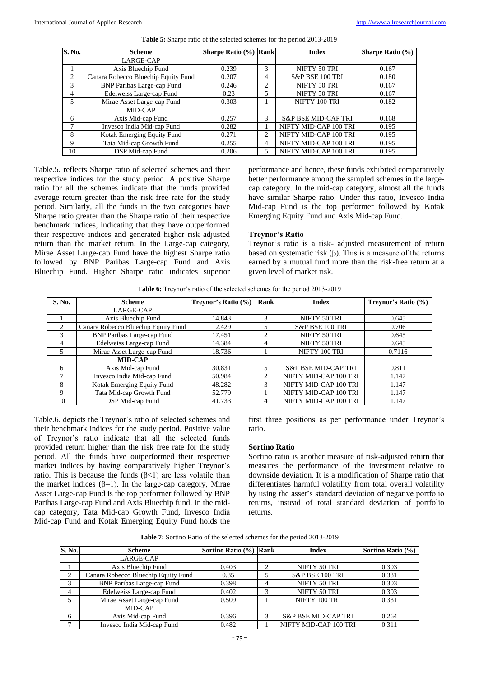| S. No.      | <b>Scheme</b>                       | Sharpe Ratio (%) Rank |                               | <b>Index</b>                   | <b>Sharpe Ratio</b> $(\% )$ |
|-------------|-------------------------------------|-----------------------|-------------------------------|--------------------------------|-----------------------------|
|             | LARGE-CAP                           |                       |                               |                                |                             |
|             | Axis Bluechip Fund                  | 0.239                 | 3                             | NIFTY 50 TRI                   | 0.167                       |
| 2           | Canara Robecco Bluechip Equity Fund | 0.207                 | 4                             | S&P BSE 100 TRI                | 0.180                       |
| 3           | <b>BNP Paribas Large-cap Fund</b>   | 0.246                 | 2                             | NIFTY 50 TRI                   | 0.167                       |
| 4           | Edelweiss Large-cap Fund            | 0.23                  |                               | NIFTY 50 TRI                   | 0.167                       |
| $5^{\circ}$ | Mirae Asset Large-cap Fund          | 0.303                 |                               | NIFTY 100 TRI                  | 0.182                       |
|             | MID-CAP                             |                       |                               |                                |                             |
| 6           | Axis Mid-cap Fund                   | 0.257                 | $\mathcal{R}$                 | <b>S&amp;P BSE MID-CAP TRI</b> | 0.168                       |
| 7           | Invesco India Mid-cap Fund          | 0.282                 |                               | NIFTY MID-CAP 100 TRI          | 0.195                       |
| 8           | Kotak Emerging Equity Fund          | 0.271                 | $\mathfrak{D}_{\mathfrak{p}}$ | NIFTY MID-CAP 100 TRI          | 0.195                       |
| 9           | Tata Mid-cap Growth Fund            | 0.255                 | 4                             | NIFTY MID-CAP 100 TRI          | 0.195                       |
| 10          | DSP Mid-cap Fund                    | 0.206                 | 5                             | NIFTY MID-CAP 100 TRI          | 0.195                       |

**Table 5:** Sharpe ratio of the selected schemes for the period 2013-2019

Table.5. reflects Sharpe ratio of selected schemes and their respective indices for the study period. A positive Sharpe ratio for all the schemes indicate that the funds provided average return greater than the risk free rate for the study period. Similarly, all the funds in the two categories have Sharpe ratio greater than the Sharpe ratio of their respective benchmark indices, indicating that they have outperformed their respective indices and generated higher risk adjusted return than the market return. In the Large-cap category, Mirae Asset Large-cap Fund have the highest Sharpe ratio followed by BNP Paribas Large-cap Fund and Axis Bluechip Fund. Higher Sharpe ratio indicates superior performance and hence, these funds exhibited comparatively better performance among the sampled schemes in the largecap category. In the mid-cap category, almost all the funds have similar Sharpe ratio. Under this ratio, Invesco India Mid-cap Fund is the top performer followed by Kotak Emerging Equity Fund and Axis Mid-cap Fund.

# **Treynor's Ratio**

Treynor's ratio is a risk- adjusted measurement of return based on systematic risk (β). This is a measure of the returns earned by a mutual fund more than the risk-free return at a given level of market risk.

|  |  |  |  | <b>Table 6:</b> Treynor's ratio of the selected schemes for the period 2013-2019 |
|--|--|--|--|----------------------------------------------------------------------------------|
|  |  |  |  |                                                                                  |

| <b>S. No.</b>  | <b>Scheme</b>                       | <b>Treynor's Ratio (%)</b> | Rank           | <b>Index</b>                   | Treynor's Ratio $(\% )$ |
|----------------|-------------------------------------|----------------------------|----------------|--------------------------------|-------------------------|
|                | LARGE-CAP                           |                            |                |                                |                         |
|                | Axis Bluechip Fund                  | 14.843                     | 3              | NIFTY 50 TRI                   | 0.645                   |
| $\mathfrak{D}$ | Canara Robecco Bluechip Equity Fund | 12.429                     | 5              | S&P BSE 100 TRI                | 0.706                   |
| $\mathcal{R}$  | <b>BNP Paribas Large-cap Fund</b>   | 17.451                     | $\mathfrak{D}$ | NIFTY 50 TRI                   | 0.645                   |
| $\overline{4}$ | Edelweiss Large-cap Fund            | 14.384                     | 4              | NIFTY 50 TRI                   | 0.645                   |
| 5              | Mirae Asset Large-cap Fund          | 18.736                     |                | NIFTY 100 TRI                  | 0.7116                  |
|                | <b>MID-CAP</b>                      |                            |                |                                |                         |
| 6              | Axis Mid-cap Fund                   | 30.831                     | 5              | <b>S&amp;P BSE MID-CAP TRI</b> | 0.811                   |
|                | Invesco India Mid-cap Fund          | 50.984                     | 2              | NIFTY MID-CAP 100 TRI          | 1.147                   |
| 8              | Kotak Emerging Equity Fund          | 48.282                     | 3              | NIFTY MID-CAP 100 TRI          | 1.147                   |
| 9              | Tata Mid-cap Growth Fund            | 52.779                     |                | NIFTY MID-CAP 100 TRI          | 1.147                   |
| 10             | DSP Mid-cap Fund                    | 41.733                     | 4              | NIFTY MID-CAP 100 TRI          | 1.147                   |

Table.6. depicts the Treynor's ratio of selected schemes and their benchmark indices for the study period. Positive value of Treynor's ratio indicate that all the selected funds provided return higher than the risk free rate for the study period. All the funds have outperformed their respective market indices by having comparatively higher Treynor's ratio. This is because the funds  $(β<1)$  are less volatile than the market indices ( $β=1$ ). In the large-cap category, Mirae Asset Large-cap Fund is the top performer followed by BNP Paribas Large-cap Fund and Axis Bluechip fund. In the midcap category, Tata Mid-cap Growth Fund, Invesco India Mid-cap Fund and Kotak Emerging Equity Fund holds the

first three positions as per performance under Treynor's ratio.

# **Sortino Ratio**

Sortino ratio is another measure of risk-adjusted return that measures the performance of the investment relative to downside deviation. It is a modification of Sharpe ratio that differentiates harmful volatility from total overall volatility by using the asset's standard deviation of negative portfolio returns, instead of total standard deviation of portfolio returns.

| Table 7: Sortino Ratio of the selected schemes for the period 2013-2019 |  |
|-------------------------------------------------------------------------|--|
|-------------------------------------------------------------------------|--|

| S. No. | <b>Scheme</b>                       | Sortino Ratio (%) Rank |                    | <b>Index</b>                   | Sortino Ratio (%) |
|--------|-------------------------------------|------------------------|--------------------|--------------------------------|-------------------|
|        | LARGE-CAP                           |                        |                    |                                |                   |
|        | Axis Bluechip Fund                  | 0.403                  |                    | NIFTY 50 TRI                   | 0.303             |
| ◠      | Canara Robecco Bluechip Equity Fund | 0.35                   |                    | S&P BSE 100 TRI                | 0.331             |
|        | <b>BNP Paribas Large-cap Fund</b>   | 0.398                  |                    | NIFTY 50 TRI                   | 0.303             |
|        | Edelweiss Large-cap Fund            | 0.402                  | $\mathbf{\hat{z}}$ | NIFTY 50 TRI                   | 0.303             |
|        | Mirae Asset Large-cap Fund          | 0.509                  |                    | NIFTY 100 TRI                  | 0.331             |
|        | MID-CAP                             |                        |                    |                                |                   |
| 6      | Axis Mid-cap Fund                   | 0.396                  |                    | <b>S&amp;P BSE MID-CAP TRI</b> | 0.264             |
|        | Invesco India Mid-cap Fund          | 0.482                  |                    | NIFTY MID-CAP 100 TRI          | 0.311             |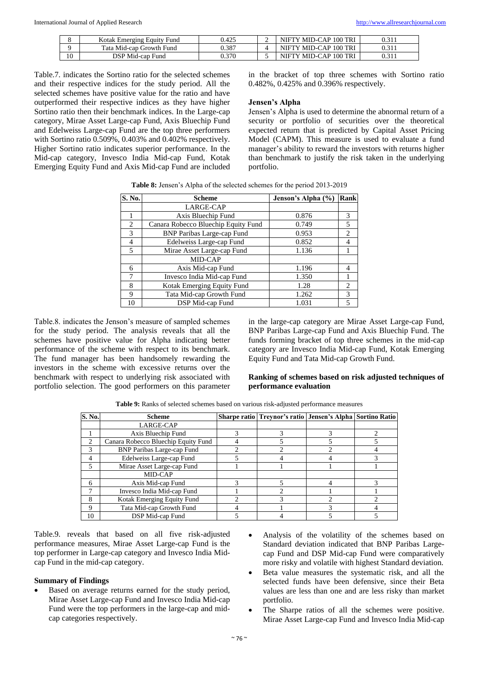|    | Fund<br>Kotak Emerging Equity | .105<br>J.423 | - | Y MID-CAP 100 TRI<br>NIFTY | 0.311 |
|----|-------------------------------|---------------|---|----------------------------|-------|
|    | Tata Mid-cap Growth Fund      | 0.387         |   | 7 MID-CAP 100 TRI<br>NIFTY | 0.311 |
| 10 | DSP Mid-cap Fund              | 0.370         |   | Y MID-CAP 100 TRI<br>NIFTY | 0.311 |

Table.7. indicates the Sortino ratio for the selected schemes and their respective indices for the study period. All the selected schemes have positive value for the ratio and have outperformed their respective indices as they have higher Sortino ratio then their benchmark indices. In the Large-cap category, Mirae Asset Large-cap Fund, Axis Bluechip Fund and Edelweiss Large-cap Fund are the top three performers with Sortino ratio 0.509%, 0.403% and 0.402% respectively. Higher Sortino ratio indicates superior performance. In the Mid-cap category, Invesco India Mid-cap Fund, Kotak Emerging Equity Fund and Axis Mid-cap Fund are included

in the bracket of top three schemes with Sortino ratio 0.482%, 0.425% and 0.396% respectively.

#### **Jensen's Alpha**

Jensen's Alpha is used to determine the abnormal return of a security or portfolio of securities over the theoretical expected return that is predicted by Capital Asset Pricing Model (CAPM). This measure is used to evaluate a fund manager's ability to reward the investors with returns higher than benchmark to justify the risk taken in the underlying portfolio.

| S. No.         | <b>Scheme</b>                       | Jenson's Alpha (%) | <b>Rank</b>    |
|----------------|-------------------------------------|--------------------|----------------|
|                | LARGE-CAP                           |                    |                |
|                | Axis Bluechip Fund                  | 0.876              | 3              |
| 2              | Canara Robecco Bluechip Equity Fund | 0.749              | 5              |
| 3              | <b>BNP Paribas Large-cap Fund</b>   | 0.953              | 2              |
| 4              | Edelweiss Large-cap Fund            | 0.852              | 4              |
| $\overline{5}$ | Mirae Asset Large-cap Fund          | 1.136              |                |
|                | MID-CAP                             |                    |                |
| 6              | Axis Mid-cap Fund                   | 1.196              | $\overline{4}$ |
|                | Invesco India Mid-cap Fund          | 1.350              |                |
| 8              | Kotak Emerging Equity Fund          | 1.28               | 2              |
| 9              | Tata Mid-cap Growth Fund            | 1.262              | 3              |
| 10             | DSP Mid-cap Fund                    | 1.031              | 5              |

**Table 8:** Jensen's Alpha of the selected schemes for the period 2013-2019

Table.8. indicates the Jenson's measure of sampled schemes for the study period. The analysis reveals that all the schemes have positive value for Alpha indicating better performance of the scheme with respect to its benchmark. The fund manager has been handsomely rewarding the investors in the scheme with excessive returns over the benchmark with respect to underlying risk associated with portfolio selection. The good performers on this parameter

in the large-cap category are Mirae Asset Large-cap Fund, BNP Paribas Large-cap Fund and Axis Bluechip Fund. The funds forming bracket of top three schemes in the mid-cap category are Invesco India Mid-cap Fund, Kotak Emerging Equity Fund and Tata Mid-cap Growth Fund.

# **Ranking of schemes based on risk adjusted techniques of performance evaluation**

| S. No.      | <b>Scheme</b>                       |   | Sharpe ratio   Treynor's ratio   Jensen's Alpha   Sortino Ratio |  |
|-------------|-------------------------------------|---|-----------------------------------------------------------------|--|
|             | LARGE-CAP                           |   |                                                                 |  |
|             | Axis Bluechip Fund                  |   |                                                                 |  |
| ↑           | Canara Robecco Bluechip Equity Fund |   |                                                                 |  |
|             | <b>BNP Paribas Large-cap Fund</b>   |   |                                                                 |  |
|             | Edelweiss Large-cap Fund            |   |                                                                 |  |
|             | Mirae Asset Large-cap Fund          |   |                                                                 |  |
|             | MID-CAP                             |   |                                                                 |  |
| 6           | Axis Mid-cap Fund                   |   |                                                                 |  |
|             | Invesco India Mid-cap Fund          |   |                                                                 |  |
| 8           | Kotak Emerging Equity Fund          |   |                                                                 |  |
| $\mathbf Q$ | Tata Mid-cap Growth Fund            | 4 |                                                                 |  |
| 10          | DSP Mid-cap Fund                    |   |                                                                 |  |

**Table 9:** Ranks of selected schemes based on various risk-adjusted performance measures

Table.9. reveals that based on all five risk-adjusted performance measures, Mirae Asset Large-cap Fund is the top performer in Large-cap category and Invesco India Midcap Fund in the mid-cap category.

#### **Summary of Findings**

- Based on average returns earned for the study period, Mirae Asset Large-cap Fund and Invesco India Mid-cap Fund were the top performers in the large-cap and midcap categories respectively.
- Analysis of the volatility of the schemes based on Standard deviation indicated that BNP Paribas Largecap Fund and DSP Mid-cap Fund were comparatively more risky and volatile with highest Standard deviation.
- Beta value measures the systematic risk, and all the selected funds have been defensive, since their Beta values are less than one and are less risky than market portfolio.
- The Sharpe ratios of all the schemes were positive. Mirae Asset Large-cap Fund and Invesco India Mid-cap